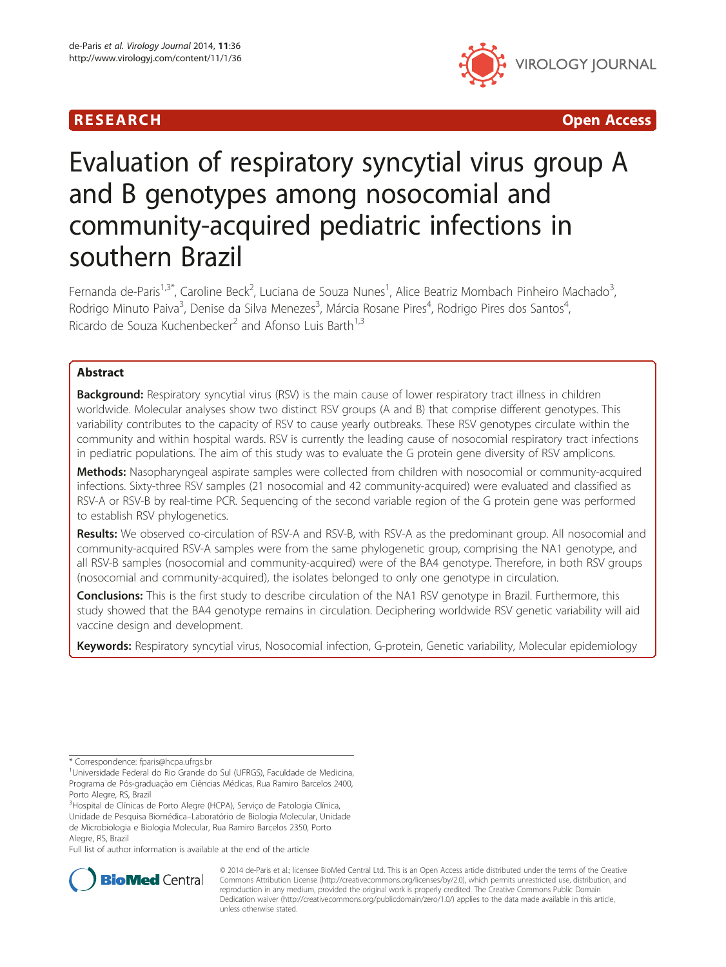



# Evaluation of respiratory syncytial virus group A and B genotypes among nosocomial and community-acquired pediatric infections in southern Brazil

Fernanda de-Paris<sup>1,3\*</sup>, Caroline Beck<sup>2</sup>, Luciana de Souza Nunes<sup>1</sup>, Alice Beatriz Mombach Pinheiro Machado<sup>3</sup> , Rodrigo Minuto Paiva<sup>3</sup>, Denise da Silva Menezes<sup>3</sup>, Márcia Rosane Pires<sup>4</sup>, Rodrigo Pires dos Santos<sup>4</sup> , Ricardo de Souza Kuchenbecker<sup>2</sup> and Afonso Luis Barth<sup>1,3</sup>

# Abstract

**Background:** Respiratory syncytial virus (RSV) is the main cause of lower respiratory tract illness in children worldwide. Molecular analyses show two distinct RSV groups (A and B) that comprise different genotypes. This variability contributes to the capacity of RSV to cause yearly outbreaks. These RSV genotypes circulate within the community and within hospital wards. RSV is currently the leading cause of nosocomial respiratory tract infections in pediatric populations. The aim of this study was to evaluate the G protein gene diversity of RSV amplicons.

Methods: Nasopharyngeal aspirate samples were collected from children with nosocomial or community-acquired infections. Sixty-three RSV samples (21 nosocomial and 42 community-acquired) were evaluated and classified as RSV-A or RSV-B by real-time PCR. Sequencing of the second variable region of the G protein gene was performed to establish RSV phylogenetics.

Results: We observed co-circulation of RSV-A and RSV-B, with RSV-A as the predominant group. All nosocomial and community-acquired RSV-A samples were from the same phylogenetic group, comprising the NA1 genotype, and all RSV-B samples (nosocomial and community-acquired) were of the BA4 genotype. Therefore, in both RSV groups (nosocomial and community-acquired), the isolates belonged to only one genotype in circulation.

Conclusions: This is the first study to describe circulation of the NA1 RSV genotype in Brazil. Furthermore, this study showed that the BA4 genotype remains in circulation. Deciphering worldwide RSV genetic variability will aid vaccine design and development.

Keywords: Respiratory syncytial virus, Nosocomial infection, G-protein, Genetic variability, Molecular epidemiology

Full list of author information is available at the end of the article



© 2014 de-Paris et al.; licensee BioMed Central Ltd. This is an Open Access article distributed under the terms of the Creative Commons Attribution License [\(http://creativecommons.org/licenses/by/2.0\)](http://creativecommons.org/licenses/by/2.0), which permits unrestricted use, distribution, and reproduction in any medium, provided the original work is properly credited. The Creative Commons Public Domain Dedication waiver [\(http://creativecommons.org/publicdomain/zero/1.0/](http://creativecommons.org/publicdomain/zero/1.0/)) applies to the data made available in this article, unless otherwise stated.

<sup>\*</sup> Correspondence: [fparis@hcpa.ufrgs.br](mailto:fparis@hcpa.ufrgs.br) <sup>1</sup>

<sup>&</sup>lt;sup>1</sup>Universidade Federal do Rio Grande do Sul (UFRGS), Faculdade de Medicina, Programa de Pós-graduação em Ciências Médicas, Rua Ramiro Barcelos 2400, Porto Alegre, RS, Brazil

<sup>&</sup>lt;sup>3</sup>Hospital de Clínicas de Porto Alegre (HCPA), Serviço de Patologia Clínica, Unidade de Pesquisa Biomédica–Laboratório de Biologia Molecular, Unidade de Microbiologia e Biologia Molecular, Rua Ramiro Barcelos 2350, Porto Alegre, RS, Brazil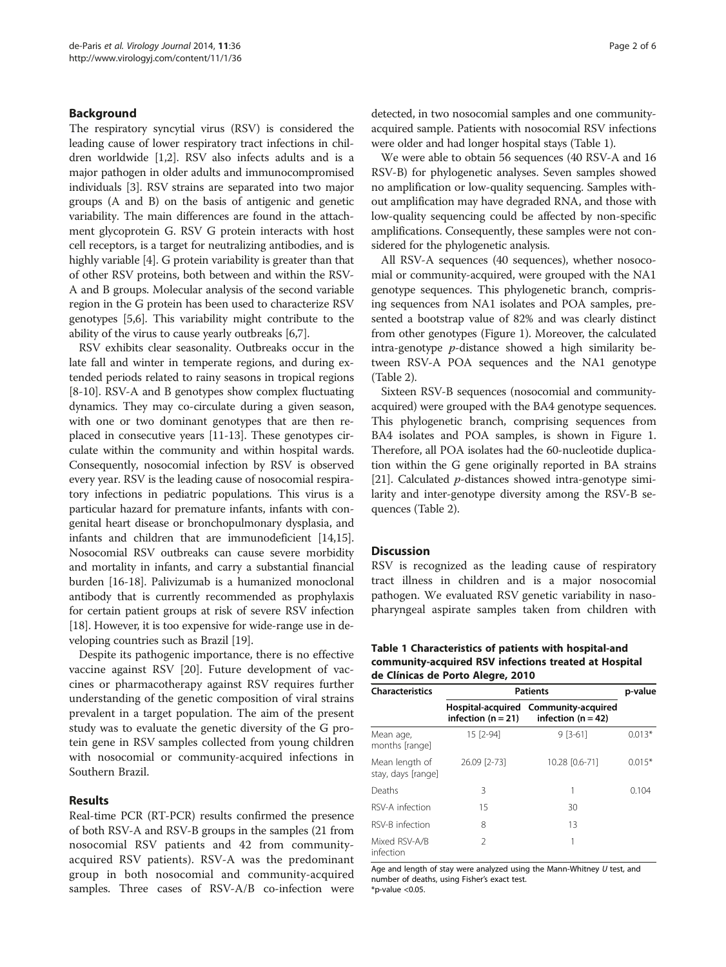## <span id="page-1-0"></span>Background

The respiratory syncytial virus (RSV) is considered the leading cause of lower respiratory tract infections in children worldwide [\[1,2\]](#page-4-0). RSV also infects adults and is a major pathogen in older adults and immunocompromised individuals [[3](#page-4-0)]. RSV strains are separated into two major groups (A and B) on the basis of antigenic and genetic variability. The main differences are found in the attachment glycoprotein G. RSV G protein interacts with host cell receptors, is a target for neutralizing antibodies, and is highly variable [\[4\]](#page-4-0). G protein variability is greater than that of other RSV proteins, both between and within the RSV-A and B groups. Molecular analysis of the second variable region in the G protein has been used to characterize RSV genotypes [\[5,6\]](#page-4-0). This variability might contribute to the ability of the virus to cause yearly outbreaks [\[6,7](#page-4-0)].

RSV exhibits clear seasonality. Outbreaks occur in the late fall and winter in temperate regions, and during extended periods related to rainy seasons in tropical regions [[8-](#page-4-0)[10\]](#page-5-0). RSV-A and B genotypes show complex fluctuating dynamics. They may co-circulate during a given season, with one or two dominant genotypes that are then replaced in consecutive years [\[11](#page-5-0)-[13](#page-5-0)]. These genotypes circulate within the community and within hospital wards. Consequently, nosocomial infection by RSV is observed every year. RSV is the leading cause of nosocomial respiratory infections in pediatric populations. This virus is a particular hazard for premature infants, infants with congenital heart disease or bronchopulmonary dysplasia, and infants and children that are immunodeficient [\[14,15](#page-5-0)]. Nosocomial RSV outbreaks can cause severe morbidity and mortality in infants, and carry a substantial financial burden [\[16-18](#page-5-0)]. Palivizumab is a humanized monoclonal antibody that is currently recommended as prophylaxis for certain patient groups at risk of severe RSV infection [[18](#page-5-0)]. However, it is too expensive for wide-range use in developing countries such as Brazil [\[19\]](#page-5-0).

Despite its pathogenic importance, there is no effective vaccine against RSV [\[20\]](#page-5-0). Future development of vaccines or pharmacotherapy against RSV requires further understanding of the genetic composition of viral strains prevalent in a target population. The aim of the present study was to evaluate the genetic diversity of the G protein gene in RSV samples collected from young children with nosocomial or community-acquired infections in Southern Brazil.

## Results

Real-time PCR (RT-PCR) results confirmed the presence of both RSV-A and RSV-B groups in the samples (21 from nosocomial RSV patients and 42 from communityacquired RSV patients). RSV-A was the predominant group in both nosocomial and community-acquired samples. Three cases of RSV-A/B co-infection were

detected, in two nosocomial samples and one communityacquired sample. Patients with nosocomial RSV infections were older and had longer hospital stays (Table 1).

We were able to obtain 56 sequences (40 RSV-A and 16 RSV-B) for phylogenetic analyses. Seven samples showed no amplification or low-quality sequencing. Samples without amplification may have degraded RNA, and those with low-quality sequencing could be affected by non-specific amplifications. Consequently, these samples were not considered for the phylogenetic analysis.

All RSV-A sequences (40 sequences), whether nosocomial or community-acquired, were grouped with the NA1 genotype sequences. This phylogenetic branch, comprising sequences from NA1 isolates and POA samples, presented a bootstrap value of 82% and was clearly distinct from other genotypes (Figure [1\)](#page-2-0). Moreover, the calculated intra-genotype  $p$ -distance showed a high similarity between RSV-A POA sequences and the NA1 genotype (Table [2](#page-3-0)).

Sixteen RSV-B sequences (nosocomial and communityacquired) were grouped with the BA4 genotype sequences. This phylogenetic branch, comprising sequences from BA4 isolates and POA samples, is shown in Figure [1](#page-2-0). Therefore, all POA isolates had the 60-nucleotide duplication within the G gene originally reported in BA strains [[21](#page-5-0)]. Calculated  $p$ -distances showed intra-genotype similarity and inter-genotype diversity among the RSV-B sequences (Table [2](#page-3-0)).

## **Discussion**

RSV is recognized as the leading cause of respiratory tract illness in children and is a major nosocomial pathogen. We evaluated RSV genetic variability in nasopharyngeal aspirate samples taken from children with

## Table 1 Characteristics of patients with hospital-and community-acquired RSV infections treated at Hospital de Clínicas de Porto Alegre, 2010

| <b>Characteristics</b>               | <b>Patients</b>      |                                                                | p-value  |  |
|--------------------------------------|----------------------|----------------------------------------------------------------|----------|--|
|                                      | infection $(n = 21)$ | Hospital-acquired Community-acquired<br>infection ( $n = 42$ ) |          |  |
| Mean age,<br>months [range]          | 15 [2-94]            | $9$ [3-61]                                                     | $0.013*$ |  |
| Mean length of<br>stay, days [range] | 26.09 [2-73]         | 10.28 [0.6-71]                                                 | $0.015*$ |  |
| Deaths                               | 3                    | 1                                                              | 0.104    |  |
| RSV-A infection                      | 15                   | 30                                                             |          |  |
| RSV-B infection                      | 8                    | 13                                                             |          |  |
| Mixed RSV-A/B<br>infection           | 2                    | 1                                                              |          |  |

Age and length of stay were analyzed using the Mann-Whitney  $U$  test, and number of deaths, using Fisher's exact test.  $*$ p-value < $0.05$ .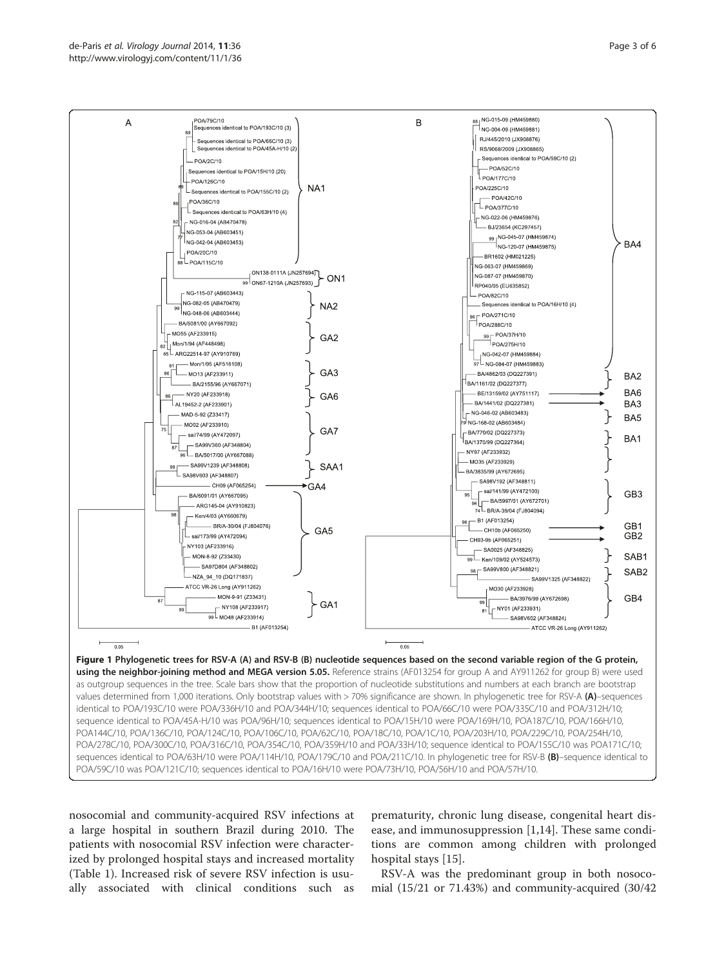<span id="page-2-0"></span>

POA/59C/10 was POA/121C/10; sequences identical to POA/16H/10 were POA/73H/10, POA/56H/10 and POA/57H/10.

nosocomial and community-acquired RSV infections at a large hospital in southern Brazil during 2010. The patients with nosocomial RSV infection were characterized by prolonged hospital stays and increased mortality (Table [1\)](#page-1-0). Increased risk of severe RSV infection is usually associated with clinical conditions such as

prematurity, chronic lung disease, congenital heart disease, and immunosuppression [\[1](#page-4-0),[14\]](#page-5-0). These same conditions are common among children with prolonged hospital stays [[15](#page-5-0)].

RSV-A was the predominant group in both nosocomial (15/21 or 71.43%) and community-acquired (30/42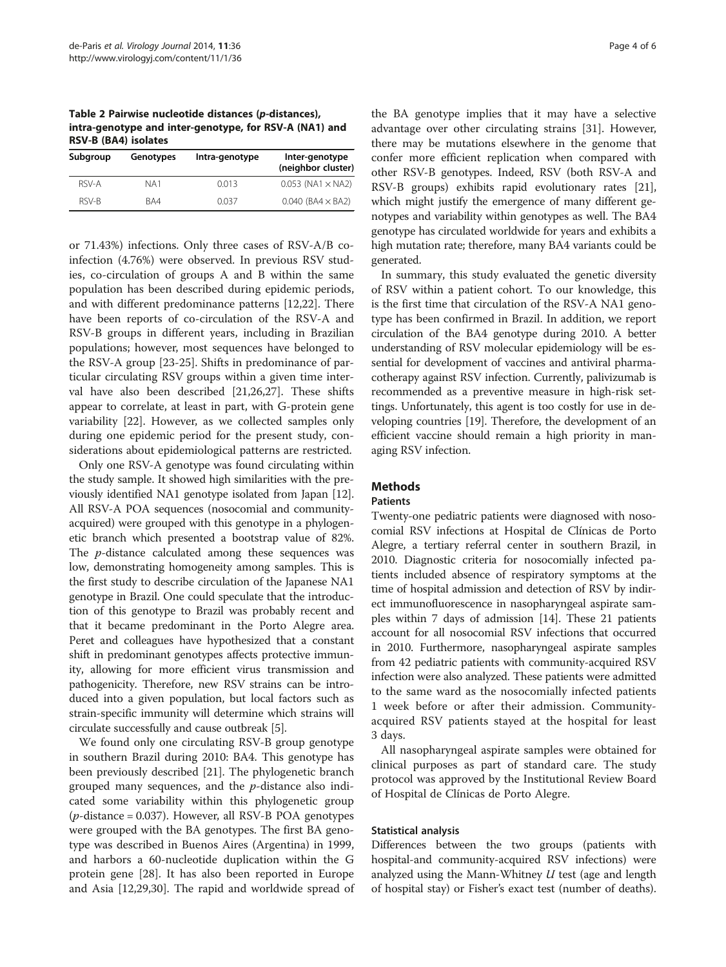<span id="page-3-0"></span>Table 2 Pairwise nucleotide distances (p-distances), intra-genotype and inter-genotype, for RSV-A (NA1) and RSV-B (BA4) isolates

| Subgroup | Genotypes | Intra-genotype | Inter-genotype<br>(neighbor cluster) |
|----------|-----------|----------------|--------------------------------------|
| RSV-A    | NA 1      | 0.013          | $0.053$ (NA1 $\times$ NA2)           |
| RSV-B    | BA4       | 0.037          | $0.040$ (BA4 $\times$ BA2)           |
|          |           |                |                                      |

or 71.43%) infections. Only three cases of RSV-A/B coinfection (4.76%) were observed. In previous RSV studies, co-circulation of groups A and B within the same population has been described during epidemic periods, and with different predominance patterns [[12,22\]](#page-5-0). There have been reports of co-circulation of the RSV-A and RSV-B groups in different years, including in Brazilian populations; however, most sequences have belonged to the RSV-A group [[23-25\]](#page-5-0). Shifts in predominance of particular circulating RSV groups within a given time interval have also been described [[21](#page-5-0),[26](#page-5-0),[27](#page-5-0)]. These shifts appear to correlate, at least in part, with G-protein gene variability [\[22](#page-5-0)]. However, as we collected samples only during one epidemic period for the present study, considerations about epidemiological patterns are restricted.

Only one RSV-A genotype was found circulating within the study sample. It showed high similarities with the previously identified NA1 genotype isolated from Japan [[12](#page-5-0)]. All RSV-A POA sequences (nosocomial and communityacquired) were grouped with this genotype in a phylogenetic branch which presented a bootstrap value of 82%. The p-distance calculated among these sequences was low, demonstrating homogeneity among samples. This is the first study to describe circulation of the Japanese NA1 genotype in Brazil. One could speculate that the introduction of this genotype to Brazil was probably recent and that it became predominant in the Porto Alegre area. Peret and colleagues have hypothesized that a constant shift in predominant genotypes affects protective immunity, allowing for more efficient virus transmission and pathogenicity. Therefore, new RSV strains can be introduced into a given population, but local factors such as strain-specific immunity will determine which strains will circulate successfully and cause outbreak [\[5](#page-4-0)].

We found only one circulating RSV-B group genotype in southern Brazil during 2010: BA4. This genotype has been previously described [\[21](#page-5-0)]. The phylogenetic branch grouped many sequences, and the p-distance also indicated some variability within this phylogenetic group (p-distance = 0.037). However, all RSV-B POA genotypes were grouped with the BA genotypes. The first BA genotype was described in Buenos Aires (Argentina) in 1999, and harbors a 60-nucleotide duplication within the G protein gene [\[28\]](#page-5-0). It has also been reported in Europe and Asia [\[12,29,30\]](#page-5-0). The rapid and worldwide spread of

the BA genotype implies that it may have a selective advantage over other circulating strains [[31\]](#page-5-0). However, there may be mutations elsewhere in the genome that confer more efficient replication when compared with other RSV-B genotypes. Indeed, RSV (both RSV-A and RSV-B groups) exhibits rapid evolutionary rates [[21](#page-5-0)], which might justify the emergence of many different genotypes and variability within genotypes as well. The BA4 genotype has circulated worldwide for years and exhibits a high mutation rate; therefore, many BA4 variants could be generated.

In summary, this study evaluated the genetic diversity of RSV within a patient cohort. To our knowledge, this is the first time that circulation of the RSV-A NA1 genotype has been confirmed in Brazil. In addition, we report circulation of the BA4 genotype during 2010. A better understanding of RSV molecular epidemiology will be essential for development of vaccines and antiviral pharmacotherapy against RSV infection. Currently, palivizumab is recommended as a preventive measure in high-risk settings. Unfortunately, this agent is too costly for use in developing countries [[19](#page-5-0)]. Therefore, the development of an efficient vaccine should remain a high priority in managing RSV infection.

## **Methods**

## Patients

Twenty-one pediatric patients were diagnosed with nosocomial RSV infections at Hospital de Clínicas de Porto Alegre, a tertiary referral center in southern Brazil, in 2010. Diagnostic criteria for nosocomially infected patients included absence of respiratory symptoms at the time of hospital admission and detection of RSV by indirect immunofluorescence in nasopharyngeal aspirate samples within 7 days of admission [\[14](#page-5-0)]. These 21 patients account for all nosocomial RSV infections that occurred in 2010. Furthermore, nasopharyngeal aspirate samples from 42 pediatric patients with community-acquired RSV infection were also analyzed. These patients were admitted to the same ward as the nosocomially infected patients 1 week before or after their admission. Communityacquired RSV patients stayed at the hospital for least 3 days.

All nasopharyngeal aspirate samples were obtained for clinical purposes as part of standard care. The study protocol was approved by the Institutional Review Board of Hospital de Clínicas de Porto Alegre.

## Statistical analysis

Differences between the two groups (patients with hospital-and community-acquired RSV infections) were analyzed using the Mann-Whitney  $U$  test (age and length of hospital stay) or Fisher's exact test (number of deaths).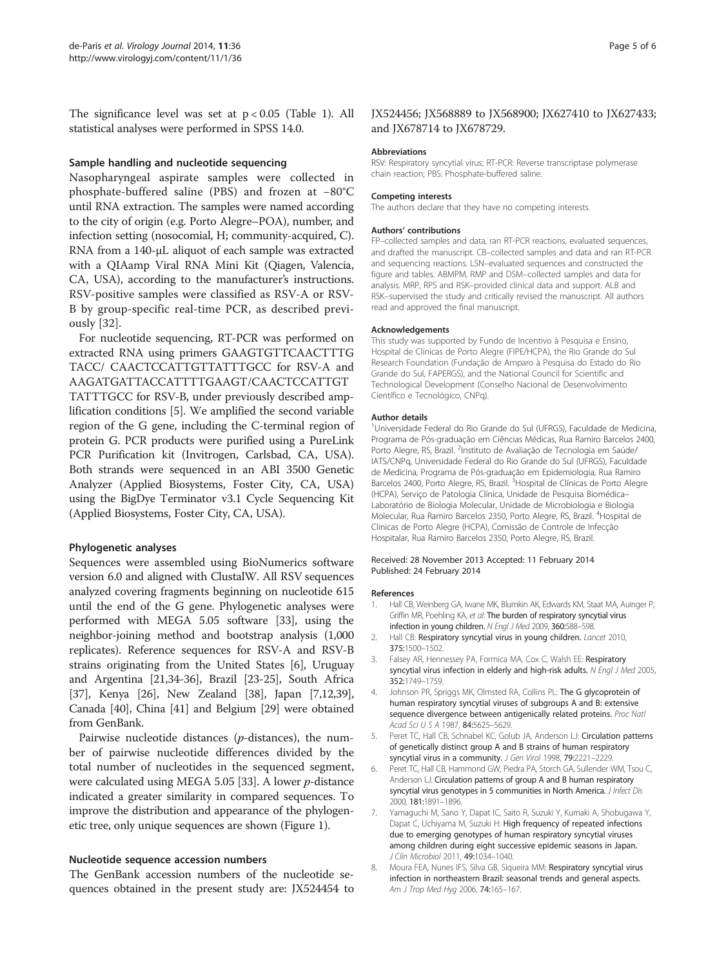<span id="page-4-0"></span>The significance level was set at  $p < 0.05$  (Table [1\)](#page-1-0). All statistical analyses were performed in SPSS 14.0.

### Sample handling and nucleotide sequencing

Nasopharyngeal aspirate samples were collected in phosphate-buffered saline (PBS) and frozen at −80°C until RNA extraction. The samples were named according to the city of origin (e.g. Porto Alegre–POA), number, and infection setting (nosocomial, H; community-acquired, C). RNA from a 140-μL aliquot of each sample was extracted with a QIAamp Viral RNA Mini Kit (Qiagen, Valencia, CA, USA), according to the manufacturer's instructions. RSV-positive samples were classified as RSV-A or RSV-B by group-specific real-time PCR, as described previously [\[32](#page-5-0)].

For nucleotide sequencing, RT-PCR was performed on extracted RNA using primers GAAGTGTTCAACTTTG TACC/ CAACTCCATTGTTATTTGCC for RSV-A and AAGATGATTACCATTTTGAAGT/CAACTCCATTGT TATTTGCC for RSV-B, under previously described amplification conditions [5]. We amplified the second variable region of the G gene, including the C-terminal region of protein G. PCR products were purified using a PureLink PCR Purification kit (Invitrogen, Carlsbad, CA, USA). Both strands were sequenced in an ABI 3500 Genetic Analyzer (Applied Biosystems, Foster City, CA, USA) using the BigDye Terminator v3.1 Cycle Sequencing Kit (Applied Biosystems, Foster City, CA, USA).

## Phylogenetic analyses

Sequences were assembled using BioNumerics software version 6.0 and aligned with ClustalW. All RSV sequences analyzed covering fragments beginning on nucleotide 615 until the end of the G gene. Phylogenetic analyses were performed with MEGA 5.05 software [\[33\]](#page-5-0), using the neighbor-joining method and bootstrap analysis (1,000 replicates). Reference sequences for RSV-A and RSV-B strains originating from the United States [6], Uruguay and Argentina [\[21,34](#page-5-0)-[36](#page-5-0)], Brazil [\[23-25\]](#page-5-0), South Africa [[37](#page-5-0)], Kenya [[26](#page-5-0)], New Zealand [\[38\]](#page-5-0), Japan [7[,12,39](#page-5-0)], Canada [\[40](#page-5-0)], China [\[41](#page-5-0)] and Belgium [[29](#page-5-0)] were obtained from GenBank.

Pairwise nucleotide distances (p-distances), the number of pairwise nucleotide differences divided by the total number of nucleotides in the sequenced segment, were calculated using MEGA 5.05 [\[33\]](#page-5-0). A lower p-distance indicated a greater similarity in compared sequences. To improve the distribution and appearance of the phylogenetic tree, only unique sequences are shown (Figure [1\)](#page-2-0).

#### Nucleotide sequence accession numbers

The GenBank accession numbers of the nucleotide sequences obtained in the present study are: JX524454 to JX524456; JX568889 to JX568900; JX627410 to JX627433; and JX678714 to JX678729.

#### Abbreviations

RSV: Respiratory syncytial virus; RT-PCR: Reverse transcriptase polymerase chain reaction; PBS: Phosphate-buffered saline.

#### Competing interests

The authors declare that they have no competing interests.

#### Authors' contributions

FP–collected samples and data, ran RT-PCR reactions, evaluated sequences, and drafted the manuscript. CB–collected samples and data and ran RT-PCR and sequencing reactions. LSN–evaluated sequences and constructed the figure and tables. ABMPM, RMP and DSM–collected samples and data for analysis. MRP, RPS and RSK–provided clinical data and support. ALB and RSK–supervised the study and critically revised the manuscript. All authors read and approved the final manuscript.

#### Acknowledgements

This study was supported by Fundo de Incentivo à Pesquisa e Ensino, Hospital de Clinicas de Porto Alegre (FIPE/HCPA), the Rio Grande do Sul Research Foundation (Fundação de Amparo à Pesquisa do Estado do Rio Grande do Sul, FAPERGS), and the National Council for Scientific and Technological Development (Conselho Nacional de Desenvolvimento Científico e Tecnológico, CNPq).

#### Author details

<sup>1</sup>Universidade Federal do Rio Grande do Sul (UFRGS), Faculdade de Medicina, Programa de Pós-graduação em Ciências Médicas, Rua Ramiro Barcelos 2400, Porto Alegre, RS, Brazil. <sup>2</sup>Instituto de Avaliação de Tecnologia em Saúde/ IATS/CNPq, Universidade Federal do Rio Grande do Sul (UFRGS), Faculdade de Medicina, Programa de Pós-graduação em Epidemiologia, Rua Ramiro Barcelos 2400, Porto Alegre, RS, Brazil.<sup>3</sup> Hospital de Clínicas de Porto Alegre (HCPA), Serviço de Patologia Clínica, Unidade de Pesquisa Biomédica– Laboratório de Biologia Molecular, Unidade de Microbiologia e Biologia Molecular, Rua Ramiro Barcelos 2350, Porto Alegre, RS, Brazil. <sup>4</sup>Hospital de Clinicas de Porto Alegre (HCPA), Comissão de Controle de Infecção Hospitalar, Rua Ramiro Barcelos 2350, Porto Alegre, RS, Brazil.

#### Received: 28 November 2013 Accepted: 11 February 2014 Published: 24 February 2014

#### References

- 1. Hall CB, Weinberg GA, Iwane MK, Blumkin AK, Edwards KM, Staat MA, Auinger P, Griffin MR, Poehling KA, et al: The burden of respiratory syncytial virus infection in young children. N Engl J Med 2009, 360:588–598.
- 2. Hall CB: Respiratory syncytial virus in young children. Lancet 2010, 375:1500–1502.
- 3. Falsey AR, Hennessey PA, Formica MA, Cox C, Walsh EE: Respiratory syncytial virus infection in elderly and high-risk adults. N Engl J Med 2005, 352:1749–1759.
- 4. Johnson PR, Spriggs MK, Olmsted RA, Collins PL: The G glycoprotein of human respiratory syncytial viruses of subgroups A and B: extensive sequence divergence between antigenically related proteins. Proc Natl Acad Sci U S A 1987, 84:5625–5629.
- 5. Peret TC, Hall CB, Schnabel KC, Golub JA, Anderson LJ: Circulation patterns of genetically distinct group A and B strains of human respiratory syncytial virus in a community. J Gen Virol 1998, 79:2221-2229.
- 6. Peret TC, Hall CB, Hammond GW, Piedra PA, Storch GA, Sullender WM, Tsou C, Anderson LJ: Circulation patterns of group A and B human respiratory syncytial virus genotypes in 5 communities in North America. J Infect Dis 2000, 181:1891–1896.
- 7. Yamaguchi M, Sano Y, Dapat IC, Saito R, Suzuki Y, Kumaki A, Shobugawa Y, Dapat C, Uchiyama M, Suzuki H: High frequency of repeated infections due to emerging genotypes of human respiratory syncytial viruses among children during eight successive epidemic seasons in Japan. J Clin Microbiol 2011, 49:1034–1040.
- 8. Moura FEA, Nunes IFS, Silva GB, Siqueira MM: Respiratory syncytial virus infection in northeastern Brazil: seasonal trends and general aspects. Am J Trop Med Hyg 2006, 74:165–167.